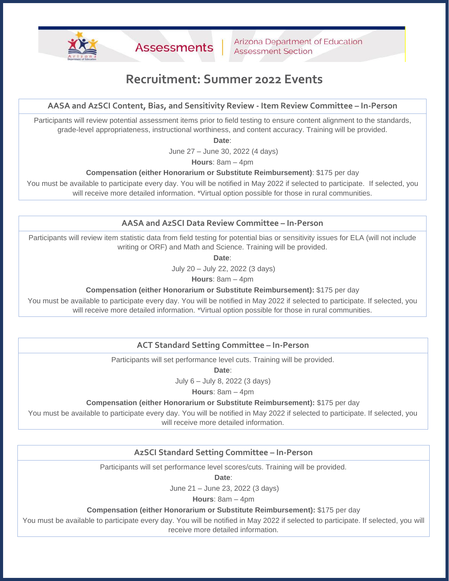# **Recruitment: Summer 2022 Events**

## **AASA and AzSCI Content, Bias, and Sensitivity Review - Item Review Committee – In-Person**

Participants will review potential assessment items prior to field testing to ensure content alignment to the standards, grade-level appropriateness, instructional worthiness, and content accuracy. Training will be provided.

**Date**:

June 27 – June 30, 2022 (4 days)

**Hours**: 8am – 4pm

#### **Compensation (either Honorarium or Substitute Reimbursement)**: \$175 per day

You must be available to participate every day. You will be notified in May 2022 if selected to participate. If selected, you will receive more detailed information. \*Virtual option possible for those in rural communities.

### **AASA and AzSCI Data Review Committee – In-Person**

Participants will review item statistic data from field testing for potential bias or sensitivity issues for ELA (will not include writing or ORF) and Math and Science. Training will be provided.

**Date**:

July 20 – July 22, 2022 (3 days)

**Hours**: 8am – 4pm

**Compensation (either Honorarium or Substitute Reimbursement):** \$175 per day

You must be available to participate every day. You will be notified in May 2022 if selected to participate. If selected, you will receive more detailed information. \*Virtual option possible for those in rural communities.

### **ACT Standard Setting Committee – In-Person**

Participants will set performance level cuts. Training will be provided.

**Date**:

July 6 – July 8, 2022 (3 days)

**Hours**: 8am – 4pm

#### **Compensation (either Honorarium or Substitute Reimbursement):** \$175 per day

You must be available to participate every day. You will be notified in May 2022 if selected to participate. If selected, you will receive more detailed information.

### **AzSCI Standard Setting Committee – In-Person**

Participants will set performance level scores/cuts. Training will be provided.

**Date**:

June 21 – June 23, 2022 (3 days)

**Hours**: 8am – 4pm

#### **Compensation (either Honorarium or Substitute Reimbursement):** \$175 per day

You must be available to participate every day. You will be notified in May 2022 if selected to participate. If selected, you will receive more detailed information.